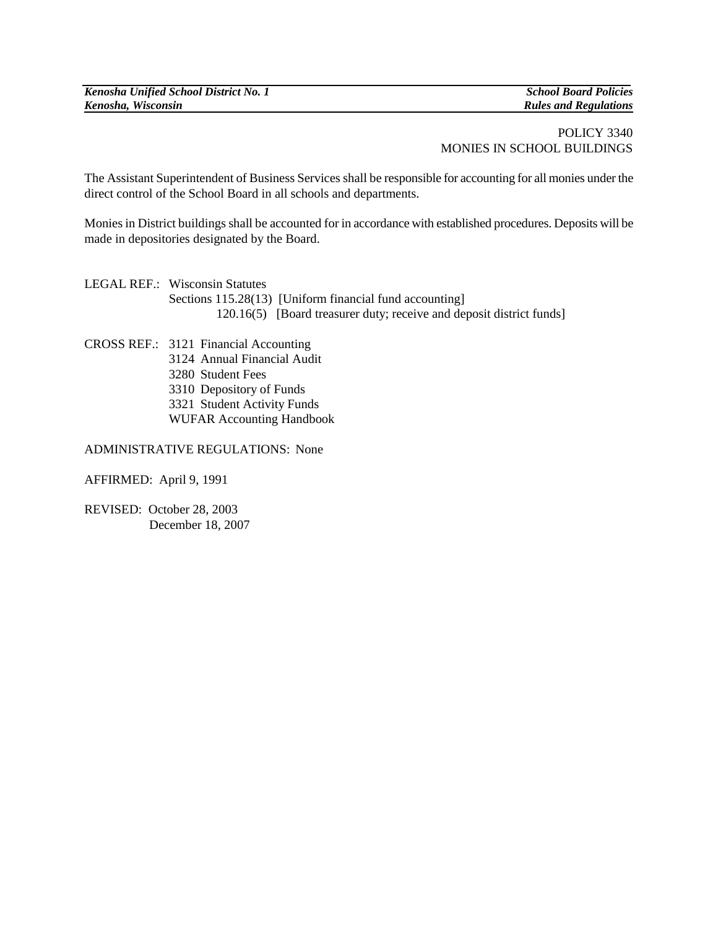*Kenosha Unified School District No. 1 School Board Policies*

*Kenosha, Wisconsin Rules and Regulations*

## POLICY 3340 MONIES IN SCHOOL BUILDINGS

The Assistant Superintendent of Business Services shall be responsible for accounting for all monies under the direct control of the School Board in all schools and departments.

Monies in District buildings shall be accounted for in accordance with established procedures. Deposits will be made in depositories designated by the Board.

LEGAL REF.: Wisconsin Statutes Sections 115.28(13) [Uniform financial fund accounting] 120.16(5) [Board treasurer duty; receive and deposit district funds]

CROSS REF.: 3121 Financial Accounting Annual Financial Audit Student Fees Depository of Funds Student Activity Funds WUFAR Accounting Handbook

ADMINISTRATIVE REGULATIONS: None

AFFIRMED: April 9, 1991

REVISED: October 28, 2003 December 18, 2007